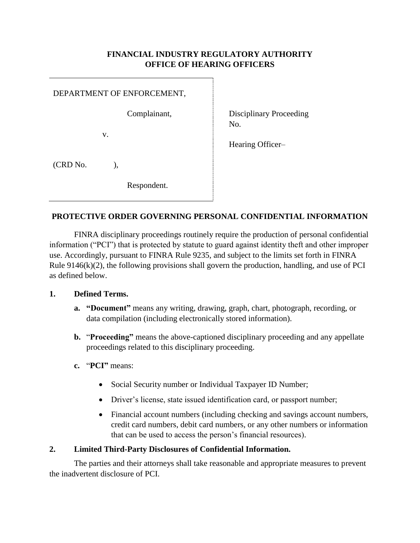## **FINANCIAL INDUSTRY REGULATORY AUTHORITY OFFICE OF HEARING OFFICERS**

|          | DEPARTMENT OF ENFORCEMENT, |                                |
|----------|----------------------------|--------------------------------|
|          | Complainant,               | Disciplinary Proceeding<br>No. |
|          | V.                         | Hearing Officer-               |
| (CRD No. |                            |                                |
|          | Respondent.                |                                |

# **PROTECTIVE ORDER GOVERNING PERSONAL CONFIDENTIAL INFORMATION**

FINRA disciplinary proceedings routinely require the production of personal confidential information ("PCI") that is protected by statute to guard against identity theft and other improper use. Accordingly, pursuant to FINRA Rule 9235, and subject to the limits set forth in FINRA Rule  $9146(k)(2)$ , the following provisions shall govern the production, handling, and use of PCI as defined below.

## **1. Defined Terms.**

- **a. "Document"** means any writing, drawing, graph, chart, photograph, recording, or data compilation (including electronically stored information).
- **b.** "**Proceeding"** means the above-captioned disciplinary proceeding and any appellate proceedings related to this disciplinary proceeding.
- **c.** "**PCI"** means:
	- Social Security number or Individual Taxpayer ID Number;
	- Driver's license, state issued identification card, or passport number;
	- Financial account numbers (including checking and savings account numbers, credit card numbers, debit card numbers, or any other numbers or information that can be used to access the person's financial resources).

### **2. Limited Third-Party Disclosures of Confidential Information.**

The parties and their attorneys shall take reasonable and appropriate measures to prevent the inadvertent disclosure of PCI.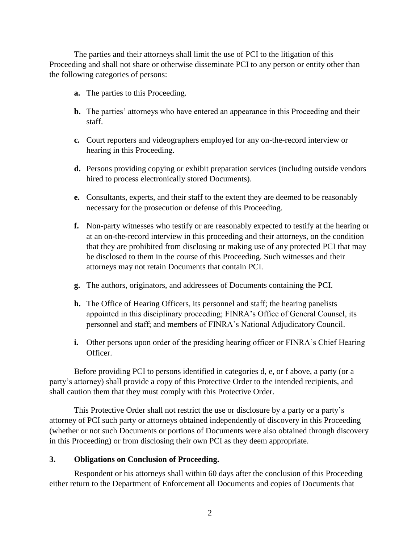The parties and their attorneys shall limit the use of PCI to the litigation of this Proceeding and shall not share or otherwise disseminate PCI to any person or entity other than the following categories of persons:

- **a.** The parties to this Proceeding.
- **b.** The parties' attorneys who have entered an appearance in this Proceeding and their staff.
- **c.** Court reporters and videographers employed for any on-the-record interview or hearing in this Proceeding.
- **d.** Persons providing copying or exhibit preparation services (including outside vendors hired to process electronically stored Documents).
- **e.** Consultants, experts, and their staff to the extent they are deemed to be reasonably necessary for the prosecution or defense of this Proceeding.
- **f.** Non-party witnesses who testify or are reasonably expected to testify at the hearing or at an on-the-record interview in this proceeding and their attorneys, on the condition that they are prohibited from disclosing or making use of any protected PCI that may be disclosed to them in the course of this Proceeding. Such witnesses and their attorneys may not retain Documents that contain PCI.
- **g.** The authors, originators, and addressees of Documents containing the PCI.
- **h.** The Office of Hearing Officers, its personnel and staff; the hearing panelists appointed in this disciplinary proceeding; FINRA's Office of General Counsel, its personnel and staff; and members of FINRA's National Adjudicatory Council.
- **i.** Other persons upon order of the presiding hearing officer or FINRA's Chief Hearing Officer.

Before providing PCI to persons identified in categories d, e, or f above, a party (or a party's attorney) shall provide a copy of this Protective Order to the intended recipients, and shall caution them that they must comply with this Protective Order.

This Protective Order shall not restrict the use or disclosure by a party or a party's attorney of PCI such party or attorneys obtained independently of discovery in this Proceeding (whether or not such Documents or portions of Documents were also obtained through discovery in this Proceeding) or from disclosing their own PCI as they deem appropriate.

## **3. Obligations on Conclusion of Proceeding.**

Respondent or his attorneys shall within 60 days after the conclusion of this Proceeding either return to the Department of Enforcement all Documents and copies of Documents that